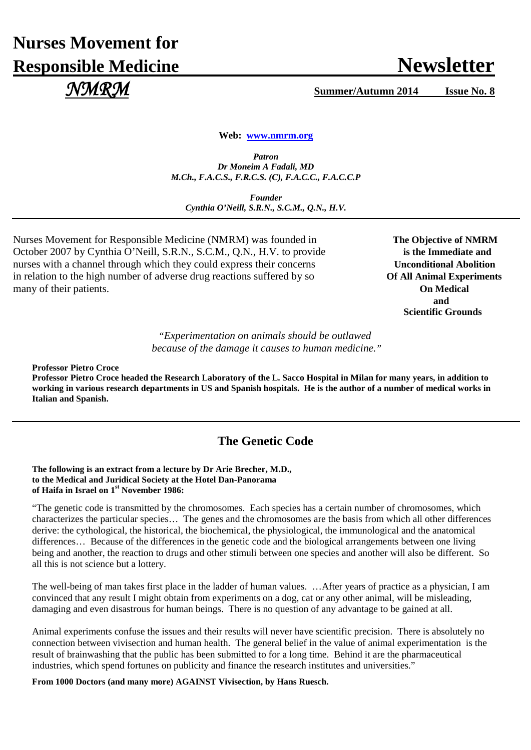# **Nurses Movement for Responsible Medicine Newsletter** Newsletter

 *NMRM* **Summer/Autumn 2014 Issue No. 8**

**Web: [www.nmrm.org](http://www.nmrm.org/)**

*Patron Dr Moneim A Fadali, MD M.Ch., F.A.C.S., F.R.C.S. (C), F.A.C.C., F.A.C.C.P*

*Founder Cynthia O'Neill, S.R.N., S.C.M., Q.N., H.V.*

Nurses Movement for Responsible Medicine (NMRM) was founded in The Objective of NMRM October 2007 by Cynthia O'Neill, S.R.N., S.C.M., Q.N., H.V. to provide **is the Immediate and** nurses with a channel through which they could express their concerns **Unconditional Abolition** in relation to the high number of adverse drug reactions suffered by so **Of All Animal Experiments** many of their patients. **On Medical**

**and and and** *and* **Scientific Grounds**

> "*Experimentation on animals should be outlawed because of the damage it causes to human medicine."*

**Professor Pietro Croce**

**Professor Pietro Croce headed the Research Laboratory of the L. Sacco Hospital in Milan for many years, in addition to working in various research departments in US and Spanish hospitals. He is the author of a number of medical works in Italian and Spanish.**

# **The Genetic Code**

**The following is an extract from a lecture by Dr Arie Brecher, M.D., to the Medical and Juridical Society at the Hotel Dan-Panorama of Haifa in Israel on 1st November 1986:**

"The genetic code is transmitted by the chromosomes. Each species has a certain number of chromosomes, which characterizes the particular species… The genes and the chromosomes are the basis from which all other differences derive: the cythological, the historical, the biochemical, the physiological, the immunological and the anatomical differences… Because of the differences in the genetic code and the biological arrangements between one living being and another, the reaction to drugs and other stimuli between one species and another will also be different. So all this is not science but a lottery.

The well-being of man takes first place in the ladder of human values. …After years of practice as a physician, I am convinced that any result I might obtain from experiments on a dog, cat or any other animal, will be misleading, damaging and even disastrous for human beings. There is no question of any advantage to be gained at all.

Animal experiments confuse the issues and their results will never have scientific precision. There is absolutely no connection between vivisection and human health. The general belief in the value of animal experimentation is the result of brainwashing that the public has been submitted to for a long time. Behind it are the pharmaceutical industries, which spend fortunes on publicity and finance the research institutes and universities."

**From 1000 Doctors (and many more) AGAINST Vivisection, by Hans Ruesch.**